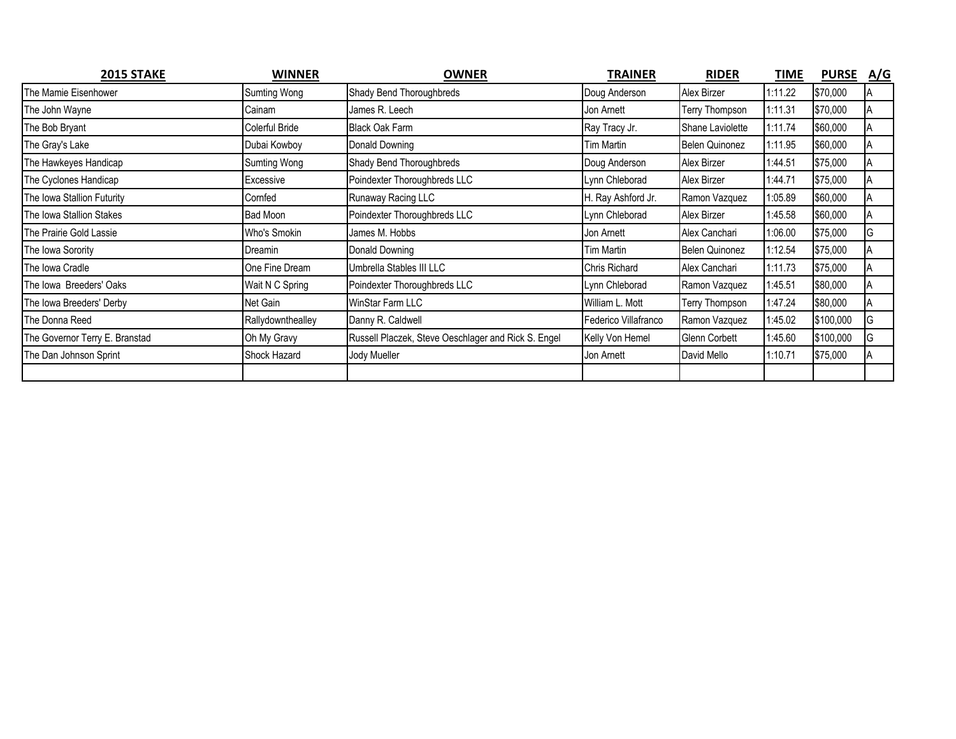| 2015 STAKE                     | <b>WINNER</b>       | <b>OWNER</b>                                        | <b>TRAINER</b>       | <b>RIDER</b>     | TIME    | PURSE A/G |    |
|--------------------------------|---------------------|-----------------------------------------------------|----------------------|------------------|---------|-----------|----|
| The Mamie Eisenhower           | <b>Sumting Wong</b> | Shady Bend Thoroughbreds                            | Doug Anderson        | Alex Birzer      | 1:11.22 | \$70,000  |    |
| The John Wayne                 | Cainam              | James R. Leech                                      | Jon Arnett           | Terry Thompson   | 1:11.31 | \$70,000  |    |
| The Bob Bryant                 | Colerful Bride      | <b>Black Oak Farm</b>                               | Ray Tracy Jr.        | Shane Laviolette | 1:11.74 | \$60,000  |    |
| The Gray's Lake                | Dubai Kowboy        | Donald Downing                                      | <b>Tim Martin</b>    | Belen Quinonez   | 1:11.95 | \$60,000  |    |
| The Hawkeyes Handicap          | Sumting Wong        | Shady Bend Thoroughbreds                            | Doug Anderson        | Alex Birzer      | 1:44.51 | \$75,000  | ΙA |
| The Cyclones Handicap          | Excessive           | Poindexter Thoroughbreds LLC                        | Lynn Chleborad       | Alex Birzer      | 1:44.71 | \$75,000  | ΙA |
| The Iowa Stallion Futurity     | Cornfed             | Runaway Racing LLC                                  | H. Ray Ashford Jr.   | Ramon Vazquez    | 1:05.89 | \$60,000  |    |
| The Iowa Stallion Stakes       | Bad Moon            | Poindexter Thoroughbreds LLC                        | Lynn Chleborad       | Alex Birzer      | 1:45.58 | \$60,000  |    |
| The Prairie Gold Lassie        | Who's Smokin        | James M. Hobbs                                      | Jon Arnett           | Alex Canchari    | 1:06.00 | \$75,000  | G  |
| The Iowa Sorority              | Dreamin             | Donald Downing                                      | Tim Martin           | Belen Quinonez   | 1:12.54 | \$75,000  |    |
| The Iowa Cradle                | One Fine Dream      | Umbrella Stables III LLC                            | <b>Chris Richard</b> | Alex Canchari    | 1:11.73 | \$75,000  |    |
| The Iowa Breeders' Oaks        | Wait N C Spring     | Poindexter Thoroughbreds LLC                        | Lynn Chleborad       | Ramon Vazquez    | 1:45.51 | \$80,000  |    |
| The Iowa Breeders' Derby       | Net Gain            | WinStar Farm LLC                                    | William L. Mott      | Terry Thompson   | 1:47.24 | \$80,000  |    |
| The Donna Reed                 | Rallydownthealley   | Danny R. Caldwell                                   | Federico Villafranco | Ramon Vazquez    | 1:45.02 | \$100,000 | G  |
| The Governor Terry E. Branstad | Oh My Gravy         | Russell Placzek, Steve Oeschlager and Rick S. Engel | Kelly Von Hemel      | Glenn Corbett    | 1:45.60 | \$100,000 | G  |
| The Dan Johnson Sprint         | Shock Hazard        | Jody Mueller                                        | Jon Arnett           | David Mello      | 1:10.71 | \$75,000  |    |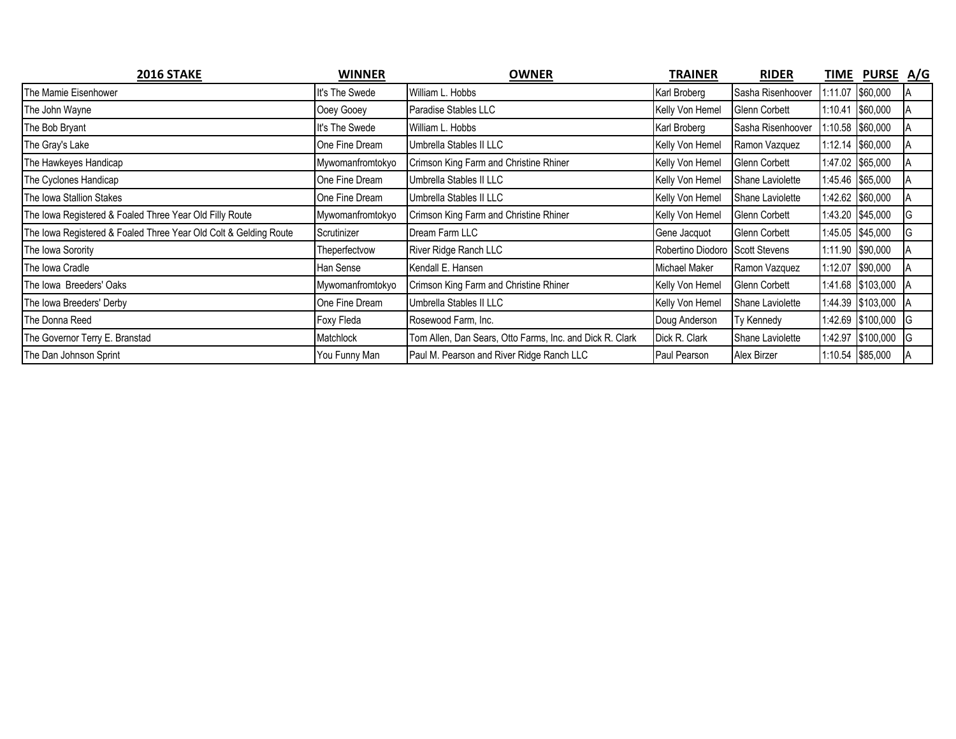| 2016 STAKE                                                       | <b>WINNER</b>    | <b>OWNER</b>                                             | TRAINER                         | <b>RIDER</b>      |         | TIME PURSE A/G    |   |
|------------------------------------------------------------------|------------------|----------------------------------------------------------|---------------------------------|-------------------|---------|-------------------|---|
| The Mamie Eisenhower                                             | It's The Swede   | William L. Hobbs                                         | Karl Broberg                    | Sasha Risenhoover |         | 1:11.07 \$60,000  |   |
| The John Wayne                                                   | Ooey Gooey       | Paradise Stables LLC                                     | Kelly Von Hemel                 | Glenn Corbett     | 1:10.41 | \$60,000          |   |
| The Bob Bryant                                                   | It's The Swede   | William L. Hobbs                                         | Karl Broberg                    | Sasha Risenhoover |         | 1:10.58 \$60,000  |   |
| The Gray's Lake                                                  | One Fine Dream   | Umbrella Stables II LLC                                  | Kelly Von Hemel                 | Ramon Vazquez     |         | 1:12.14 \$60,000  |   |
| The Hawkeyes Handicap                                            | Mywomanfromtokyo | Crimson King Farm and Christine Rhiner                   | Kelly Von Hemel                 | Glenn Corbett     |         | 1:47.02 \$65,000  |   |
| The Cyclones Handicap                                            | One Fine Dream   | Umbrella Stables II LLC                                  | Kelly Von Hemel                 | Shane Laviolette  |         | 1:45.46 \$65,000  |   |
| The Iowa Stallion Stakes                                         | One Fine Dream   | Umbrella Stables II LLC                                  | Kelly Von Hemel                 | Shane Laviolette  |         | 1:42.62 \$60,000  |   |
| The Iowa Registered & Foaled Three Year Old Filly Route          | Mywomanfromtokyo | Crimson King Farm and Christine Rhiner                   | Kelly Von Hemel                 | Glenn Corbett     |         | 1:43.20 \$45,000  |   |
| The Iowa Registered & Foaled Three Year Old Colt & Gelding Route | Scrutinizer      | Dream Farm LLC                                           | Gene Jacquot                    | Glenn Corbett     |         | 1:45.05 \$45,000  |   |
| The Iowa Sorority                                                | Theperfectvow    | River Ridge Ranch LLC                                    | Robertino Diodoro Scott Stevens |                   |         | 1:11.90 \$90,000  |   |
| The Iowa Cradle                                                  | Han Sense        | Kendall E. Hansen                                        | Michael Maker                   | Ramon Vazquez     |         | 1:12.07 \$90,000  |   |
| The Iowa Breeders' Oaks                                          | Mywomanfromtokyo | Crimson King Farm and Christine Rhiner                   | Kelly Von Hemel                 | Glenn Corbett     |         | 1:41.68 \$103,000 |   |
| The Iowa Breeders' Derby                                         | One Fine Dream   | Umbrella Stables II LLC                                  | Kelly Von Hemel                 | Shane Laviolette  |         | 1:44.39 \$103,000 |   |
| The Donna Reed                                                   | Foxy Fleda       | Rosewood Farm, Inc.                                      | Doug Anderson                   | Ty Kennedy        |         | 1:42.69 \$100,000 |   |
| The Governor Terry E. Branstad                                   | Matchlock        | Tom Allen, Dan Sears, Otto Farms, Inc. and Dick R. Clark | Dick R. Clark                   | Shane Laviolette  |         | 1:42.97 \$100,000 | G |
| The Dan Johnson Sprint                                           | You Funny Man    | Paul M. Pearson and River Ridge Ranch LLC                | Paul Pearson                    | Alex Birzer       |         | 1:10.54 \$85,000  |   |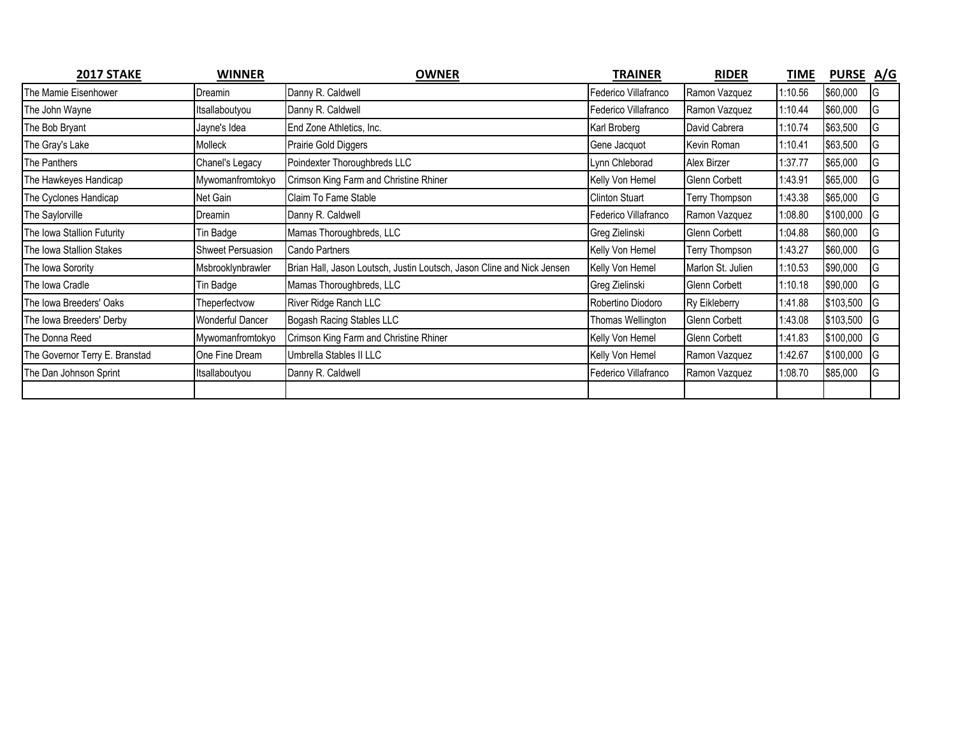| 2017 STAKE                     | <b>WINNER</b>           | <b>OWNER</b>                                                           | <b>TRAINER</b>        | <b>RIDER</b>         | <b>TIME</b> | PURSE A/G |     |
|--------------------------------|-------------------------|------------------------------------------------------------------------|-----------------------|----------------------|-------------|-----------|-----|
| The Mamie Eisenhower           | Dreamin                 | Danny R. Caldwell                                                      | Federico Villafranco  | Ramon Vazquez        | :10.56      | \$60,000  | IG  |
| The John Wayne                 | Itsallaboutyou          | Danny R. Caldwell                                                      | Federico Villafranco  | Ramon Vazquez        | :10.44      | \$60,000  | IG  |
| The Bob Bryant                 | Jayne's Idea            | End Zone Athletics, Inc.                                               | Karl Broberg          | David Cabrera        | :10.74      | \$63,500  | G   |
| The Gray's Lake                | Molleck                 | Prairie Gold Diggers                                                   | Gene Jacquot          | Kevin Roman          | :10.41      | \$63,500  | G   |
| The Panthers                   | Chanel's Legacy         | Poindexter Thoroughbreds LLC                                           | Lynn Chleborad        | Alex Birzer          | :37.77      | \$65,000  | G   |
| The Hawkeyes Handicap          | Mywomanfromtokyo        | Crimson King Farm and Christine Rhiner                                 | Kelly Von Hemel       | <b>Glenn Corbett</b> | :43.91      | \$65,000  | G   |
| The Cyclones Handicap          | Net Gain                | Claim To Fame Stable                                                   | <b>Clinton Stuart</b> | Terry Thompson       | :43.38      | \$65,000  | G   |
| The Saylorville                | Dreamin                 | Danny R. Caldwell                                                      | Federico Villafranco  | Ramon Vazquez        | :08.80      | \$100,000 | IG  |
| The Iowa Stallion Futurity     | Tin Badge               | Mamas Thoroughbreds, LLC                                               | Greg Zielinski        | <b>Glenn Corbett</b> | :04.88      | \$60,000  | G   |
| The Iowa Stallion Stakes       | Shweet Persuasion       | Cando Partners                                                         | Kelly Von Hemel       | Terry Thompson       | :43.27      | \$60,000  | G   |
| The Iowa Sorority              | Msbrooklynbrawler       | Brian Hall, Jason Loutsch, Justin Loutsch, Jason Cline and Nick Jensen | Kelly Von Hemel       | Marlon St. Julien    | :10.53      | \$90,000  | G   |
| The Iowa Cradle                | Tin Badge               | Mamas Thoroughbreds, LLC                                               | Greg Zielinski        | <b>Glenn Corbett</b> | :10.18      | \$90,000  | IG  |
| The Iowa Breeders' Oaks        | Theperfectvow           | River Ridge Ranch LLC                                                  | Robertino Diodoro     | Ry Eikleberry        | 1:41.88     | \$103,500 | 1G  |
| The Iowa Breeders' Derby       | <b>Wonderful Dancer</b> | Bogash Racing Stables LLC                                              | Thomas Wellington     | <b>Glenn Corbett</b> | :43.08      | \$103,500 | -lG |
| The Donna Reed                 | Mywomanfromtokyo        | Crimson King Farm and Christine Rhiner                                 | Kelly Von Hemel       | Glenn Corbett        | :41.83      | \$100,000 | -lG |
| The Governor Terry E. Branstad | One Fine Dream          | Umbrella Stables II LLC                                                | Kelly Von Hemel       | Ramon Vazquez        | :42.67      | \$100,000 | -lG |
| The Dan Johnson Sprint         | Itsallaboutyou          | Danny R. Caldwell                                                      | Federico Villafranco  | Ramon Vazquez        | 1:08.70     | \$85,000  | IG  |
|                                |                         |                                                                        |                       |                      |             |           |     |